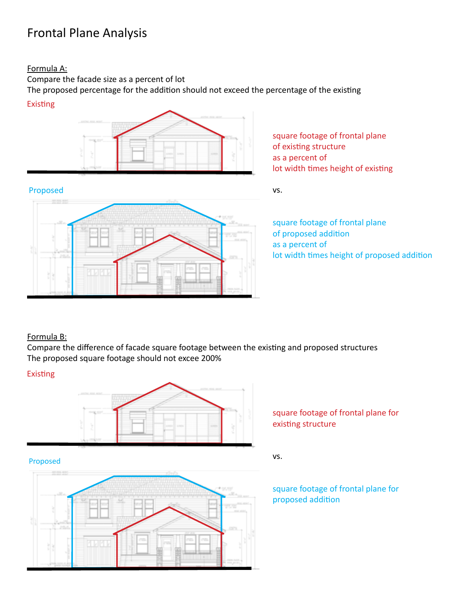# Frontal Plane Analysis

### Formula A:

Compare the facade size as a percent of lot

The proposed percentage for the addition should not exceed the percentage of the existing







square footage of frontal plane of existing structure as a percent of lot width times height of existing

vs.

square footage of frontal plane of proposed addition as a percent of lot width times height of proposed addition

# Formula B:

Compare the difference of facade square footage between the existing and proposed structures The proposed square footage should not excee 200%

## **Existing**



### Proposed



square footage of frontal plane for existing structure

vs.

square footage of frontal plane for proposed addition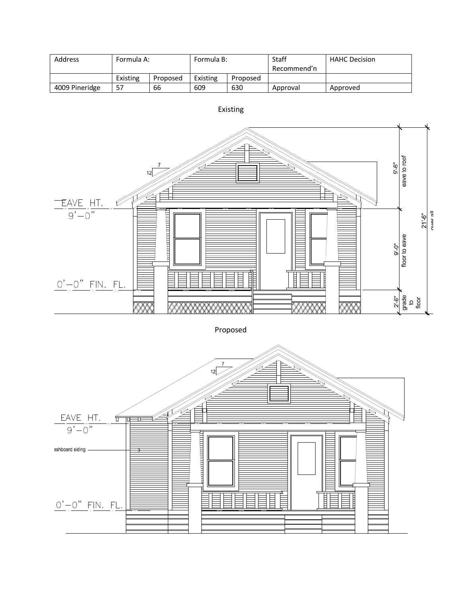| Address        | Formula A: |          | Formula B: |          | Staff       | <b>HAHC Decision</b> |
|----------------|------------|----------|------------|----------|-------------|----------------------|
|                |            |          |            |          | Recommend'n |                      |
|                | Existing   | Proposed | Existing   | Proposed |             |                      |
| 4009 Pineridge | 57         | 66       | 609        | 630      | Approval    | Approved             |



Existing

Proposed

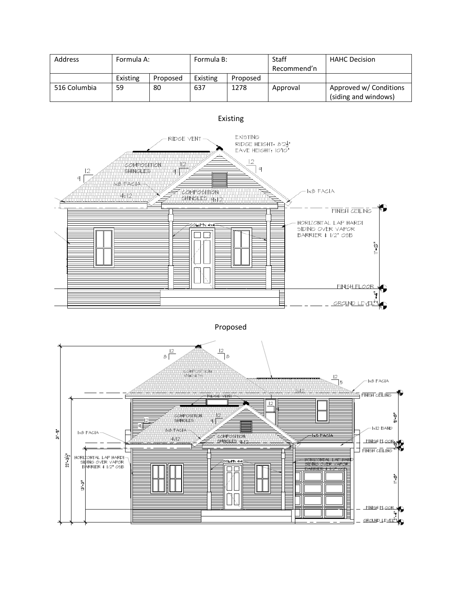| <b>Address</b> | Formula A: |          | Formula B: |          | Staff       | <b>HAHC Decision</b>                           |
|----------------|------------|----------|------------|----------|-------------|------------------------------------------------|
|                |            |          |            |          | Recommend'n |                                                |
|                | Existing   | Proposed | Existing   | Proposed |             |                                                |
| 516 Columbia   | 59         | 80       | 637        | 1278     | Approval    | Approved w/ Conditions<br>(siding and windows) |



Proposed

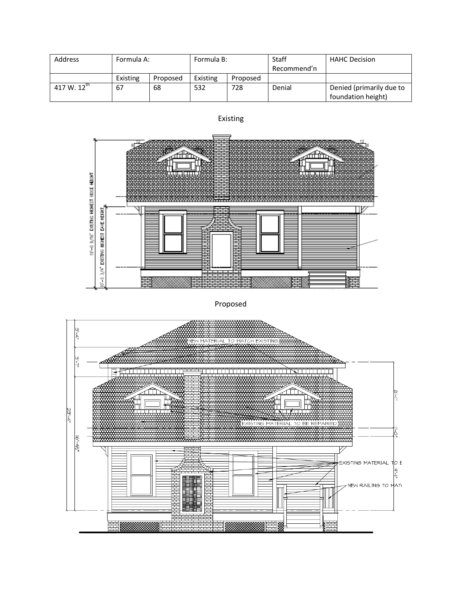| <b>Address</b>   | Formula A: |          | Formula B: |          | Staff       | <b>HAHC Decision</b>                           |
|------------------|------------|----------|------------|----------|-------------|------------------------------------------------|
|                  |            |          |            |          | Recommend'n |                                                |
|                  | Existing   | Proposed | Existing   | Proposed |             |                                                |
| 417 W. $12^{th}$ | 67         | 68       | 532        | 728      | Denial      | Denied (primarily due to<br>foundation height) |



Proposed

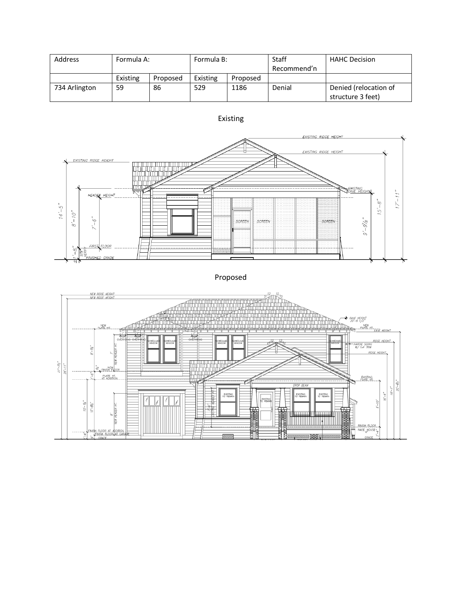| <b>Address</b> | Formula A: |          | Formula B: |          | <b>Staff</b> | <b>HAHC Decision</b>                       |
|----------------|------------|----------|------------|----------|--------------|--------------------------------------------|
|                |            |          |            |          | Recommend'n  |                                            |
|                | Existing   | Proposed | Existing   | Proposed |              |                                            |
| 734 Arlington  | 59         | 86       | 529        | 1186     | Denial       | Denied (relocation of<br>structure 3 feet) |



Proposed